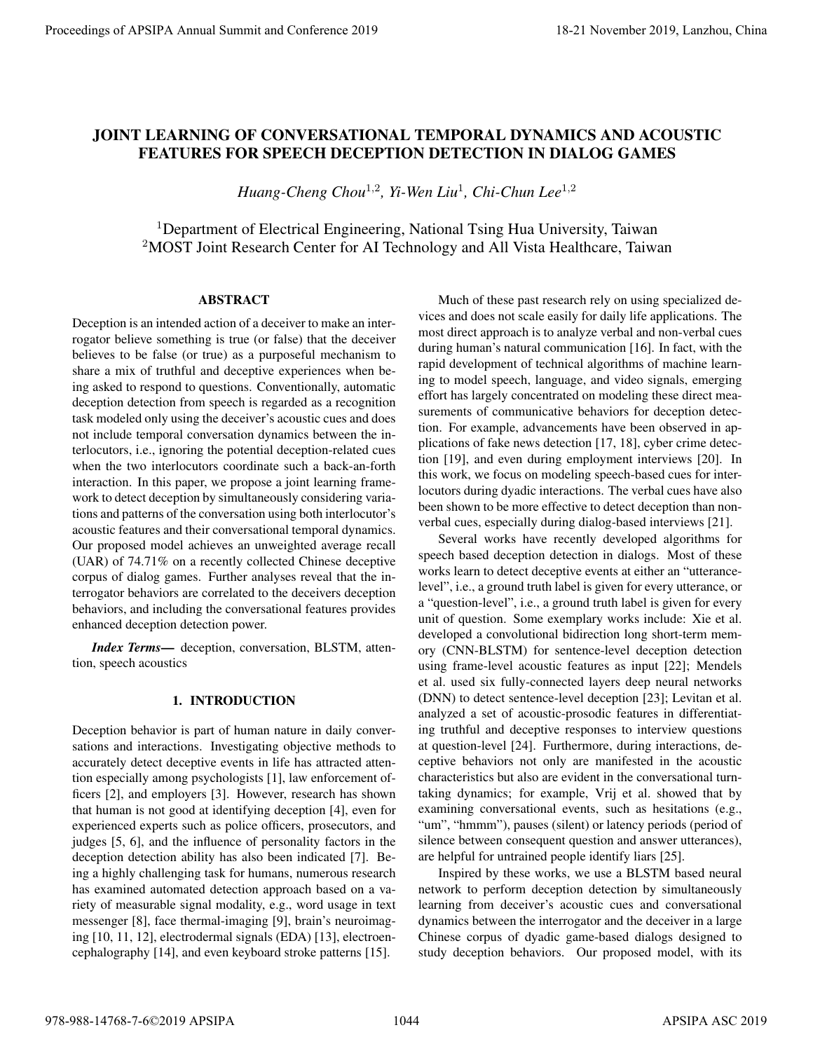# JOINT LEARNING OF CONVERSATIONAL TEMPORAL DYNAMICS AND ACOUSTIC FEATURES FOR SPEECH DECEPTION DETECTION IN DIALOG GAMES

*Huang-Cheng Chou*<sup>1</sup>,<sup>2</sup> *, Yi-Wen Liu*<sup>1</sup> *, Chi-Chun Lee*<sup>1</sup>,<sup>2</sup>

<sup>1</sup>Department of Electrical Engineering, National Tsing Hua University, Taiwan <sup>2</sup>MOST Joint Research Center for AI Technology and All Vista Healthcare, Taiwan

# ABSTRACT

Deception is an intended action of a deceiver to make an interrogator believe something is true (or false) that the deceiver believes to be false (or true) as a purposeful mechanism to share a mix of truthful and deceptive experiences when being asked to respond to questions. Conventionally, automatic deception detection from speech is regarded as a recognition task modeled only using the deceiver's acoustic cues and does not include temporal conversation dynamics between the interlocutors, i.e., ignoring the potential deception-related cues when the two interlocutors coordinate such a back-an-forth interaction. In this paper, we propose a joint learning framework to detect deception by simultaneously considering variations and patterns of the conversation using both interlocutor's acoustic features and their conversational temporal dynamics. Our proposed model achieves an unweighted average recall (UAR) of 74.71% on a recently collected Chinese deceptive corpus of dialog games. Further analyses reveal that the interrogator behaviors are correlated to the deceivers deception behaviors, and including the conversational features provides enhanced deception detection power.

*Index Terms*— deception, conversation, BLSTM, attention, speech acoustics

# 1. INTRODUCTION

Deception behavior is part of human nature in daily conversations and interactions. Investigating objective methods to accurately detect deceptive events in life has attracted attention especially among psychologists [1], law enforcement officers [2], and employers [3]. However, research has shown that human is not good at identifying deception [4], even for experienced experts such as police officers, prosecutors, and judges [5, 6], and the influence of personality factors in the deception detection ability has also been indicated [7]. Being a highly challenging task for humans, numerous research has examined automated detection approach based on a variety of measurable signal modality, e.g., word usage in text messenger [8], face thermal-imaging [9], brain's neuroimaging [10, 11, 12], electrodermal signals (EDA) [13], electroencephalography [14], and even keyboard stroke patterns [15].

Much of these past research rely on using specialized devices and does not scale easily for daily life applications. The most direct approach is to analyze verbal and non-verbal cues during human's natural communication [16]. In fact, with the rapid development of technical algorithms of machine learning to model speech, language, and video signals, emerging effort has largely concentrated on modeling these direct measurements of communicative behaviors for deception detection. For example, advancements have been observed in applications of fake news detection [17, 18], cyber crime detection [19], and even during employment interviews [20]. In this work, we focus on modeling speech-based cues for interlocutors during dyadic interactions. The verbal cues have also been shown to be more effective to detect deception than nonverbal cues, especially during dialog-based interviews [21].

Several works have recently developed algorithms for speech based deception detection in dialogs. Most of these works learn to detect deceptive events at either an "utterancelevel", i.e., a ground truth label is given for every utterance, or a "question-level", i.e., a ground truth label is given for every unit of question. Some exemplary works include: Xie et al. developed a convolutional bidirection long short-term memory (CNN-BLSTM) for sentence-level deception detection using frame-level acoustic features as input [22]; Mendels et al. used six fully-connected layers deep neural networks (DNN) to detect sentence-level deception [23]; Levitan et al. analyzed a set of acoustic-prosodic features in differentiating truthful and deceptive responses to interview questions at question-level [24]. Furthermore, during interactions, deceptive behaviors not only are manifested in the acoustic characteristics but also are evident in the conversational turntaking dynamics; for example, Vrij et al. showed that by examining conversational events, such as hesitations (e.g., "um", "hmmm"), pauses (silent) or latency periods (period of silence between consequent question and answer utterances), are helpful for untrained people identify liars [25]. Proceedings of APSIPA strength consistential functions of PSIPA ALITED INCOLLER AND ACCUSTIC<br>
FEATURES FOR SPEECH DECEPTION DETECTION IN DIALOG GAMES<br>
Hence Consequently China 2019, 2018 and Conference 2019, and Consequen

Inspired by these works, we use a BLSTM based neural network to perform deception detection by simultaneously learning from deceiver's acoustic cues and conversational dynamics between the interrogator and the deceiver in a large Chinese corpus of dyadic game-based dialogs designed to study deception behaviors. Our proposed model, with its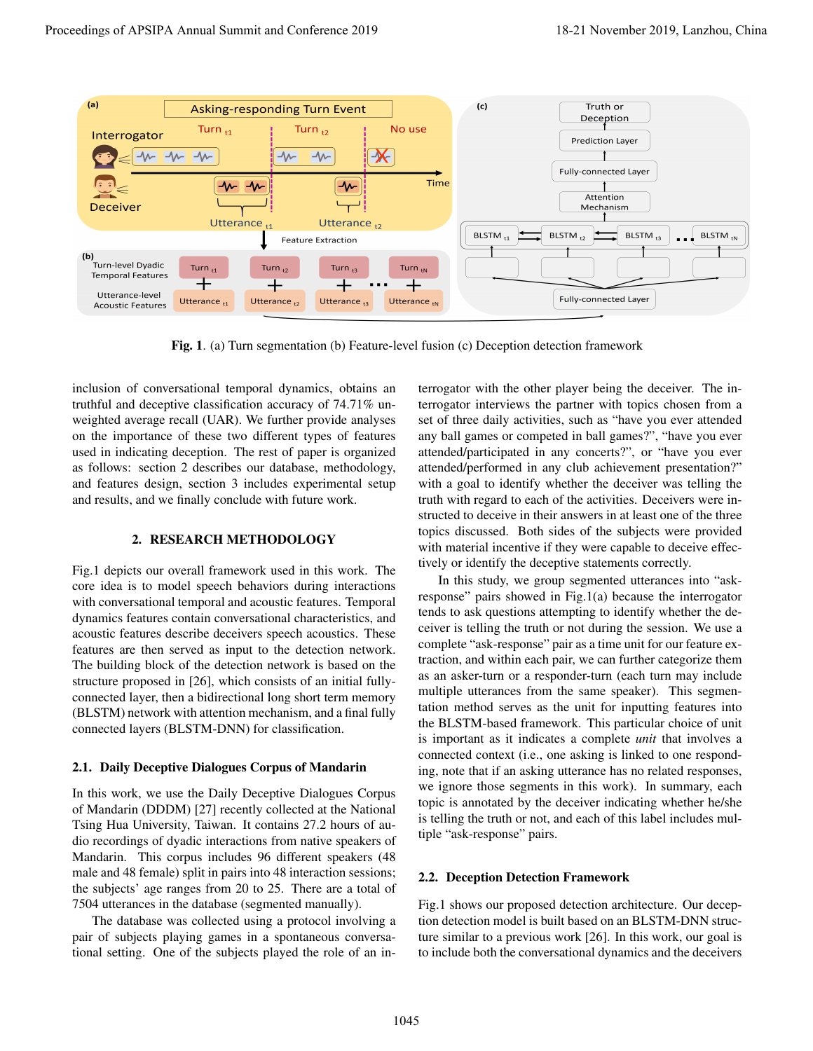

Fig. 1. (a) Turn segmentation (b) Feature-level fusion (c) Deception detection framework

inclusion of conversational temporal dynamics, obtains an truthful and deceptive classification accuracy of 74.71% unweighted average recall (UAR). We further provide analyses on the importance of these two different types of features used in indicating deception. The rest of paper is organized as follows: section 2 describes our database, methodology, and features design, section 3 includes experimental setup and results, and we finally conclude with future work.

### 2. RESEARCH METHODOLOGY

Fig.1 depicts our overall framework used in this work. The core idea is to model speech behaviors during interactions with conversational temporal and acoustic features. Temporal dynamics features contain conversational characteristics, and acoustic features describe deceivers speech acoustics. These features are then served as input to the detection network. The building block of the detection network is based on the structure proposed in [26], which consists of an initial fullyconnected layer, then a bidirectional long short term memory (BLSTM) network with attention mechanism, and a final fully connected layers (BLSTM-DNN) for classification.

# 2.1. Daily Deceptive Dialogues Corpus of Mandarin

In this work, we use the Daily Deceptive Dialogues Corpus of Mandarin (DDDM) [27] recently collected at the National Tsing Hua University, Taiwan. It contains 27.2 hours of audio recordings of dyadic interactions from native speakers of Mandarin. This corpus includes 96 different speakers (48 male and 48 female) split in pairs into 48 interaction sessions; the subjects' age ranges from 20 to 25. There are a total of 7504 utterances in the database (segmented manually).

The database was collected using a protocol involving a pair of subjects playing games in a spontaneous conversational setting. One of the subjects played the role of an interrogator with the other player being the deceiver. The interrogator interviews the partner with topics chosen from a set of three daily activities, such as "have you ever attended any ball games or competed in ball games?", "have you ever attended/participated in any concerts?", or "have you ever attended/performed in any club achievement presentation?" with a goal to identify whether the deceiver was telling the truth with regard to each of the activities. Deceivers were instructed to deceive in their answers in at least one of the three topics discussed. Both sides of the subjects were provided with material incentive if they were capable to deceive effectively or identify the deceptive statements correctly.

In this study, we group segmented utterances into "askresponse" pairs showed in Fig.1(a) because the interrogator tends to ask questions attempting to identify whether the deceiver is telling the truth or not during the session. We use a complete "ask-response" pair as a time unit for our feature extraction, and within each pair, we can further categorize them as an asker-turn or a responder-turn (each turn may include multiple utterances from the same speaker). This segmentation method serves as the unit for inputting features into the BLSTM-based framework. This particular choice of unit is important as it indicates a complete *unit* that involves a connected context (i.e., one asking is linked to one responding, note that if an asking utterance has no related responses, we ignore those segments in this work). In summary, each topic is annotated by the deceiver indicating whether he/she is telling the truth or not, and each of this label includes multiple "ask-response" pairs.

### 2.2. Deception Detection Framework

Fig.1 shows our proposed detection architecture. Our deception detection model is built based on an BLSTM-DNN structure similar to a previous work [26]. In this work, our goal is to include both the conversational dynamics and the deceivers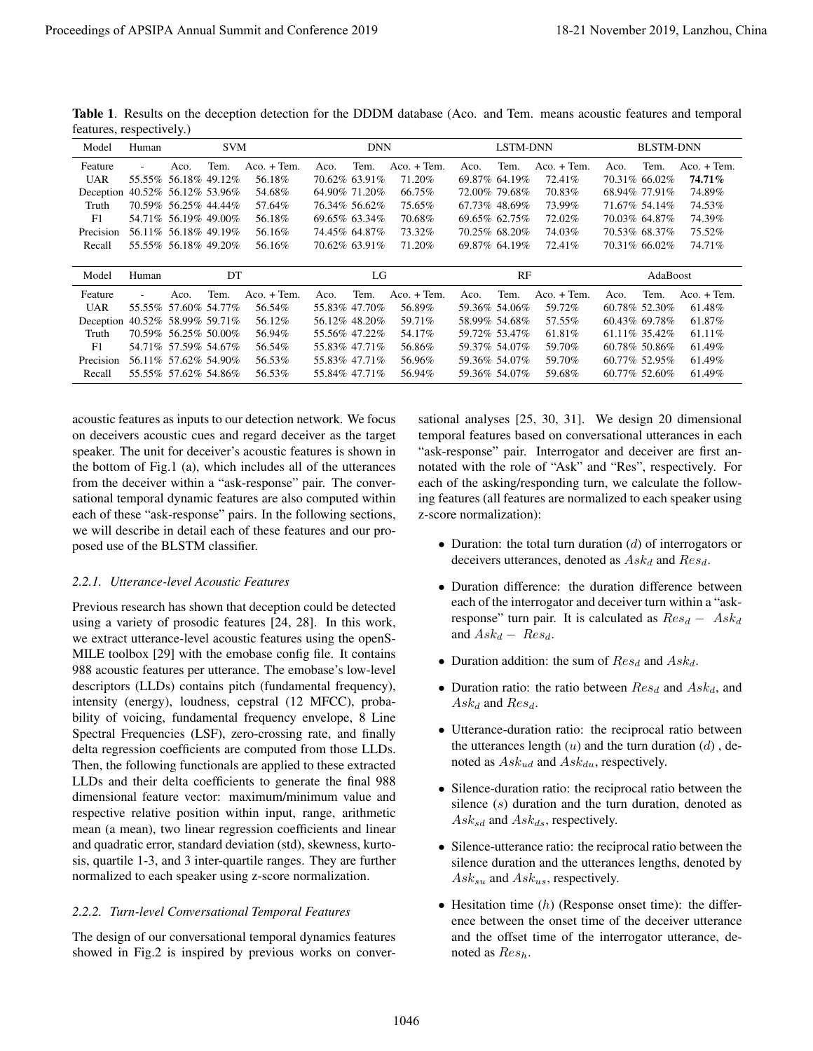|                                                                                                                                                                                                                                                   | features, respectively.) |                                                                                                                                                                                                              |                    |                                                                                                                                                                                                                                                                                                                                                                                                                                                                                                                                                                                                                                                                                                                                                                                                                                                                                                                                                                                                                                                                                                                                                                                |              |                                                                                                                                                                                                                                | Table 1. Results on the deception detection for the DDDM database (Aco. and Tem. means acoustic features and temporal                                   |                                                                           |                                                                                                                                                                                                                                |                                                                                                                                                                       |              |                                                                                                                                                                                                                                      |                                                                                                                                                                                                                                                                                                                                                                                                                                                                                                                                                                                                                                                                                                                                                                            |
|---------------------------------------------------------------------------------------------------------------------------------------------------------------------------------------------------------------------------------------------------|--------------------------|--------------------------------------------------------------------------------------------------------------------------------------------------------------------------------------------------------------|--------------------|--------------------------------------------------------------------------------------------------------------------------------------------------------------------------------------------------------------------------------------------------------------------------------------------------------------------------------------------------------------------------------------------------------------------------------------------------------------------------------------------------------------------------------------------------------------------------------------------------------------------------------------------------------------------------------------------------------------------------------------------------------------------------------------------------------------------------------------------------------------------------------------------------------------------------------------------------------------------------------------------------------------------------------------------------------------------------------------------------------------------------------------------------------------------------------|--------------|--------------------------------------------------------------------------------------------------------------------------------------------------------------------------------------------------------------------------------|---------------------------------------------------------------------------------------------------------------------------------------------------------|---------------------------------------------------------------------------|--------------------------------------------------------------------------------------------------------------------------------------------------------------------------------------------------------------------------------|-----------------------------------------------------------------------------------------------------------------------------------------------------------------------|--------------|--------------------------------------------------------------------------------------------------------------------------------------------------------------------------------------------------------------------------------------|----------------------------------------------------------------------------------------------------------------------------------------------------------------------------------------------------------------------------------------------------------------------------------------------------------------------------------------------------------------------------------------------------------------------------------------------------------------------------------------------------------------------------------------------------------------------------------------------------------------------------------------------------------------------------------------------------------------------------------------------------------------------------|
| Model                                                                                                                                                                                                                                             | Human                    |                                                                                                                                                                                                              | <b>SVM</b>         |                                                                                                                                                                                                                                                                                                                                                                                                                                                                                                                                                                                                                                                                                                                                                                                                                                                                                                                                                                                                                                                                                                                                                                                |              | <b>DNN</b>                                                                                                                                                                                                                     |                                                                                                                                                         |                                                                           | LSTM-DNN                                                                                                                                                                                                                       |                                                                                                                                                                       |              | <b>BLSTM-DNN</b>                                                                                                                                                                                                                     |                                                                                                                                                                                                                                                                                                                                                                                                                                                                                                                                                                                                                                                                                                                                                                            |
| Feature<br><b>UAR</b><br>Deception 40.52% 56.12% 53.96%<br>Truth<br>F1<br>Precision 56.11% 56.18% 49.19%<br>Recall<br>Model<br>Feature<br><b>UAR</b><br>Deception 40.52% 58.99% 59.71%<br>Truth<br>F1<br>Precision 56.11% 57.62% 54.90%<br>Recall | Human                    | Aco.<br>55.55% 56.18% 49.12%<br>70.59% 56.25% 44.44%<br>54.71% 56.19% 49.00%<br>55.55% 56.18% 49.20%<br>Aco.<br>55.55% 57.60% 54.77%<br>70.59% 56.25% 50.00%<br>54.71% 57.59% 54.67%<br>55.55% 57.62% 54.86% | Tem.<br>DT<br>Tem. | $Aco. + Tem.$<br>56.18%<br>54.68%<br>57.64%<br>56.18%<br>56.16%<br>56.16%<br>Aco. + Tem.<br>56.54%<br>56.12%<br>56.94%<br>56.54%<br>56.53%<br>56.53%                                                                                                                                                                                                                                                                                                                                                                                                                                                                                                                                                                                                                                                                                                                                                                                                                                                                                                                                                                                                                           | Aco.<br>Aco. | Tem.<br>70.62% 63.91%<br>64.90% 71.20%<br>76.34% 56.62%<br>69.65% 63.34%<br>74.45% 64.87%<br>70.62% 63.91%<br>LG<br>Tem.<br>55.83% 47.70%<br>56.12% 48.20%<br>55.56% 47.22%<br>55.83% 47.71%<br>55.83% 47.71%<br>55.84% 47.71% | $Aco. + Tem.$<br>71.20%<br>66.75%<br>75.65%<br>$70.68\%$<br>73.32%<br>71.20%<br>Aco. + Tem.<br>56.89%<br>59.71%<br>54.17%<br>56.86%<br>56.96%<br>56.94% | Aco.<br>Aco.                                                              | Tem.<br>69.87% 64.19%<br>72.00% 79.68%<br>67.73% 48.69%<br>69.65% 62.75%<br>70.25% 68.20%<br>69.87% 64.19%<br>RF<br>Tem.<br>59.36% 54.06%<br>58.99% 54.68%<br>59.72% 53.47%<br>59.37% 54.07%<br>59.36% 54.07%<br>59.36% 54.07% | Aco. + Tem.<br>72.41%<br>70.83%<br>73.99%<br>72.02%<br>74.03%<br>72.41%<br>Aco. + Tem.<br>59.72%<br>57.55%<br>61.81%<br>59.70%<br>59.70%<br>59.68%                    | Aco.<br>Aco. | Tem.<br>70.31% 66.02%<br>68.94% 77.91%<br>71.67% 54.14%<br>70.03% 64.87%<br>70.53% 68.37%<br>70.31% 66.02%<br>AdaBoost<br>Tem.<br>60.78% 52.30%<br>60.43% 69.78%<br>61.11% 35.42%<br>60.78% 50.86%<br>60.77% 52.95%<br>60.77% 52.60% | $Aco. + Tem.$<br>74.71%<br>74.89%<br>74.53%<br>74.39%<br>75.52%<br>74.71%<br>$Aco. + Tem.$<br>61.48%<br>61.87%<br>61.11%<br>61.49%<br>61.49%<br>61.49%                                                                                                                                                                                                                                                                                                                                                                                                                                                                                                                                                                                                                     |
| posed use of the BLSTM classifier.<br>2.2.1. Utterance-level Acoustic Features                                                                                                                                                                    |                          |                                                                                                                                                                                                              |                    | the bottom of Fig.1 (a), which includes all of the utterances<br>from the deceiver within a "ask-response" pair. The conver-<br>sational temporal dynamic features are also computed within<br>each of these "ask-response" pairs. In the following sections,<br>we will describe in detail each of these features and our pro-<br>Previous research has shown that deception could be detected<br>using a variety of prosodic features [24, 28]. In this work,<br>we extract utterance-level acoustic features using the openS-<br>MILE toolbox [29] with the emobase config file. It contains<br>988 acoustic features per utterance. The emobase's low-level<br>descriptors (LLDs) contains pitch (fundamental frequency),<br>intensity (energy), loudness, cepstral (12 MFCC), proba-<br>bility of voicing, fundamental frequency envelope, 8 Line<br>Spectral Frequencies (LSF), zero-crossing rate, and finally<br>delta regression coefficients are computed from those LLDs.<br>Then, the following functionals are applied to these extracted<br>LLDs and their delta coefficients to generate the final 988<br>dimensional feature vector: maximum/minimum value and |              | respective relative position within input, range, arithmetic                                                                                                                                                                   |                                                                                                                                                         | z-score normalization):<br>and $Ask_d - Res_d$ .<br>$Ask_d$ and $Res_d$ . |                                                                                                                                                                                                                                | deceivers utterances, denoted as $Ask_d$ and $Res_d$ .<br>• Duration addition: the sum of $Res_d$ and $Ask_d$ .<br>noted as $Ask_{ud}$ and $Ask_{du}$ , respectively. |              |                                                                                                                                                                                                                                      | notated with the role of "Ask" and "Res", respectively. For<br>each of the asking/responding turn, we calculate the follow-<br>ing features (all features are normalized to each speaker using<br>• Duration: the total turn duration $(d)$ of interrogators or<br>• Duration difference: the duration difference between<br>each of the interrogator and deceiver turn within a "ask-<br>response" turn pair. It is calculated as $Res_d - Ask_d$<br>• Duration ratio: the ratio between $Res_d$ and $Ask_d$ , and<br>• Utterance-duration ratio: the reciprocal ratio between<br>the utterances length $(u)$ and the turn duration $(d)$ , de-<br>• Silence-duration ratio: the reciprocal ratio between the<br>silence $(s)$ duration and the turn duration, denoted as |

Table 1. Results on the deception detection for the DDDM database (Aco. and Tem. means acoustic features and temporal features, respectively.)

# *2.2.1. Utterance-level Acoustic Features*

# *2.2.2. Turn-level Conversational Temporal Features*

- Duration: the total turn duration  $(d)$  of interrogators or deceivers utterances, denoted as  $Ask_d$  and  $Res_d$ .
- Duration difference: the duration difference between each of the interrogator and deceiver turn within a "askresponse" turn pair. It is calculated as  $Res_d - Ask_d$ and  $Ask_d - Res_d$ .
- Duration addition: the sum of  $Res_d$  and  $Ask_d$ .
- Duration ratio: the ratio between  $Res<sub>d</sub>$  and  $Ask<sub>d</sub>$ , and  $Ask_d$  and  $Res_d$ .
- Utterance-duration ratio: the reciprocal ratio between the utterances length  $(u)$  and the turn duration  $(d)$ , denoted as  $Ask_{ud}$  and  $Ask_{du}$ , respectively.
- Silence-duration ratio: the reciprocal ratio between the silence (s) duration and the turn duration, denoted as  $Ask_{sd}$  and  $Ask_{ds}$ , respectively.
- Silence-utterance ratio: the reciprocal ratio between the silence duration and the utterances lengths, denoted by  $Ask_{su}$  and  $Ask_{us}$ , respectively.
- Hesitation time  $(h)$  (Response onset time): the difference between the onset time of the deceiver utterance and the offset time of the interrogator utterance, denoted as  $Res<sub>h</sub>$ .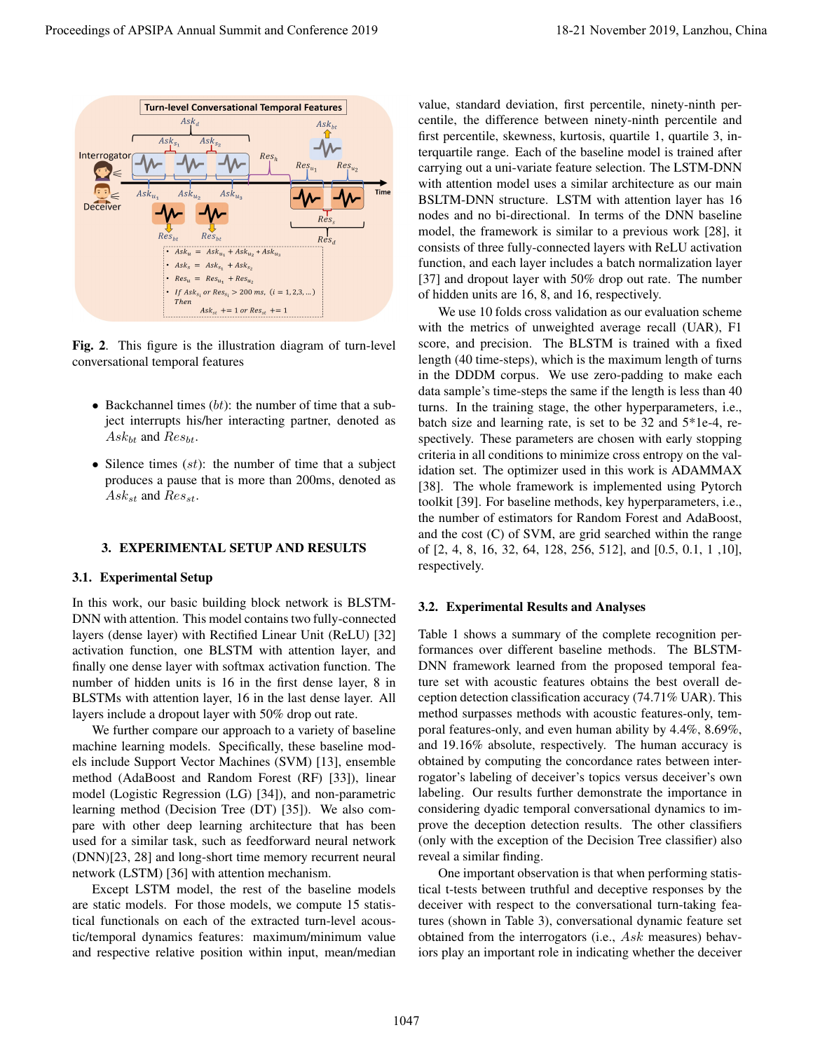

Fig. 2. This figure is the illustration diagram of turn-level conversational temporal features

- Backchannel times  $(bt)$ : the number of time that a subject interrupts his/her interacting partner, denoted as  $Ask_{bt}$  and  $Res_{bt}$ .
- Silence times  $(st)$ : the number of time that a subject produces a pause that is more than 200ms, denoted as  $Ask_{st}$  and  $Res_{st}$ .

### 3. EXPERIMENTAL SETUP AND RESULTS

#### 3.1. Experimental Setup

In this work, our basic building block network is BLSTM-DNN with attention. This model contains two fully-connected layers (dense layer) with Rectified Linear Unit (ReLU) [32] activation function, one BLSTM with attention layer, and finally one dense layer with softmax activation function. The number of hidden units is 16 in the first dense layer, 8 in BLSTMs with attention layer, 16 in the last dense layer. All layers include a dropout layer with 50% drop out rate.

We further compare our approach to a variety of baseline machine learning models. Specifically, these baseline models include Support Vector Machines (SVM) [13], ensemble method (AdaBoost and Random Forest (RF) [33]), linear model (Logistic Regression (LG) [34]), and non-parametric learning method (Decision Tree (DT) [35]). We also compare with other deep learning architecture that has been used for a similar task, such as feedforward neural network (DNN)[23, 28] and long-short time memory recurrent neural network (LSTM) [36] with attention mechanism.

Except LSTM model, the rest of the baseline models are static models. For those models, we compute 15 statistical functionals on each of the extracted turn-level acoustic/temporal dynamics features: maximum/minimum value and respective relative position within input, mean/median

value, standard deviation, first percentile, ninety-ninth percentile, the difference between ninety-ninth percentile and first percentile, skewness, kurtosis, quartile 1, quartile 3, interquartile range. Each of the baseline model is trained after carrying out a uni-variate feature selection. The LSTM-DNN with attention model uses a similar architecture as our main BSLTM-DNN structure. LSTM with attention layer has 16 nodes and no bi-directional. In terms of the DNN baseline model, the framework is similar to a previous work [28], it consists of three fully-connected layers with ReLU activation function, and each layer includes a batch normalization layer [37] and dropout layer with 50% drop out rate. The number of hidden units are 16, 8, and 16, respectively.

We use 10 folds cross validation as our evaluation scheme with the metrics of unweighted average recall (UAR), F1 score, and precision. The BLSTM is trained with a fixed length (40 time-steps), which is the maximum length of turns in the DDDM corpus. We use zero-padding to make each data sample's time-steps the same if the length is less than 40 turns. In the training stage, the other hyperparameters, i.e., batch size and learning rate, is set to be 32 and 5\*1e-4, respectively. These parameters are chosen with early stopping criteria in all conditions to minimize cross entropy on the validation set. The optimizer used in this work is ADAMMAX [38]. The whole framework is implemented using Pytorch toolkit [39]. For baseline methods, key hyperparameters, i.e., the number of estimators for Random Forest and AdaBoost, and the cost (C) of SVM, are grid searched within the range of [2, 4, 8, 16, 32, 64, 128, 256, 512], and [0.5, 0.1, 1 ,10], respectively. **Processing the Conference 2019**<br> **Proceeding the conference 2019, and an interaction of the conference 2019, and an interaction of the conference 2019, and an interaction of the conference 2019, and the conference 2019,** 

#### 3.2. Experimental Results and Analyses

Table 1 shows a summary of the complete recognition performances over different baseline methods. The BLSTM-DNN framework learned from the proposed temporal feature set with acoustic features obtains the best overall deception detection classification accuracy (74.71% UAR). This method surpasses methods with acoustic features-only, temporal features-only, and even human ability by 4.4%, 8.69%, and 19.16% absolute, respectively. The human accuracy is obtained by computing the concordance rates between interrogator's labeling of deceiver's topics versus deceiver's own labeling. Our results further demonstrate the importance in considering dyadic temporal conversational dynamics to improve the deception detection results. The other classifiers (only with the exception of the Decision Tree classifier) also reveal a similar finding.

One important observation is that when performing statistical t-tests between truthful and deceptive responses by the deceiver with respect to the conversational turn-taking features (shown in Table 3), conversational dynamic feature set obtained from the interrogators (i.e., Ask measures) behaviors play an important role in indicating whether the deceiver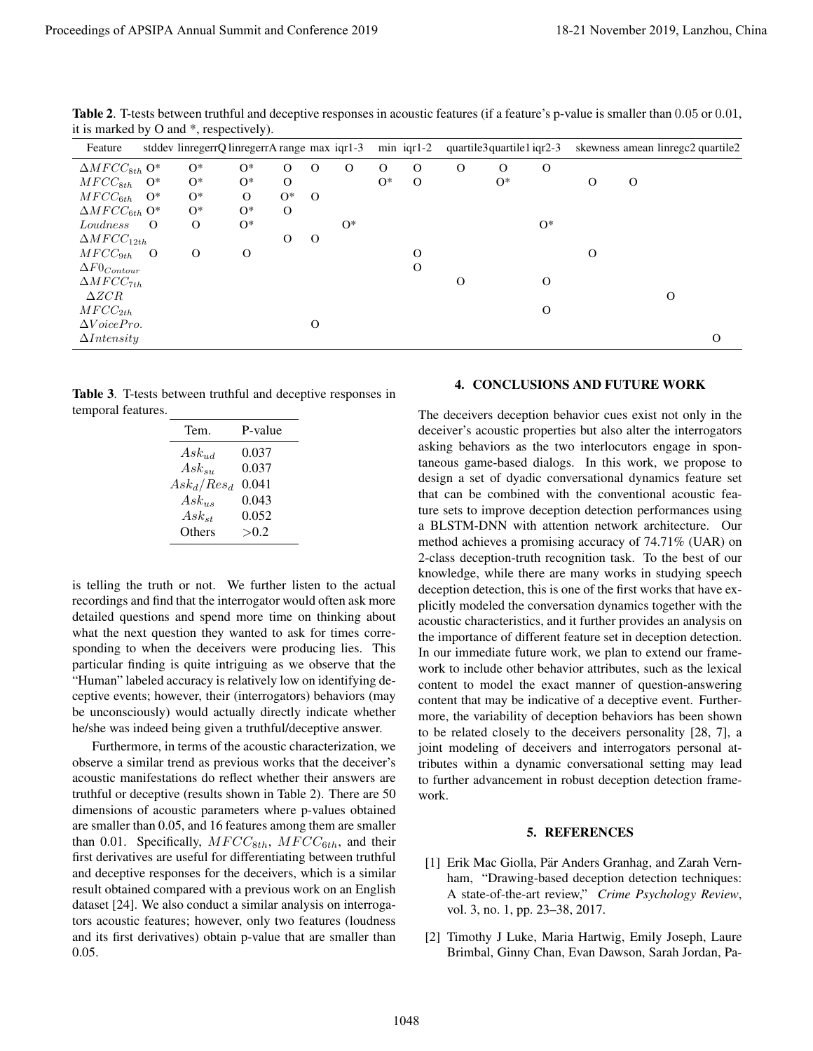|                                                                                                                                                                                                                                                                                                                                                                                                                                                                                                                                                                                                                                                                                                                                                                                                                                                                                                                                                                                                                                                                                                                                                                                                                                                                                                                                                                                                 |                                                               | it is marked by O and *, respectively).<br>stddev linregerrQ linregerrA range max iqr1-3<br>Feature |                  |              |             |             |                             |              |                                 | min iqr1-2<br>quartile3quartile1 iqr2-3<br>skewness amean linregc2 quartile2 |                                                           |              |             |                                                                                                                                                                                                                                                                                                                                                                                                                                                                                                                                                                                                                                                                                                                                                                                                                                                                                                                            |  |  |
|-------------------------------------------------------------------------------------------------------------------------------------------------------------------------------------------------------------------------------------------------------------------------------------------------------------------------------------------------------------------------------------------------------------------------------------------------------------------------------------------------------------------------------------------------------------------------------------------------------------------------------------------------------------------------------------------------------------------------------------------------------------------------------------------------------------------------------------------------------------------------------------------------------------------------------------------------------------------------------------------------------------------------------------------------------------------------------------------------------------------------------------------------------------------------------------------------------------------------------------------------------------------------------------------------------------------------------------------------------------------------------------------------|---------------------------------------------------------------|-----------------------------------------------------------------------------------------------------|------------------|--------------|-------------|-------------|-----------------------------|--------------|---------------------------------|------------------------------------------------------------------------------|-----------------------------------------------------------|--------------|-------------|----------------------------------------------------------------------------------------------------------------------------------------------------------------------------------------------------------------------------------------------------------------------------------------------------------------------------------------------------------------------------------------------------------------------------------------------------------------------------------------------------------------------------------------------------------------------------------------------------------------------------------------------------------------------------------------------------------------------------------------------------------------------------------------------------------------------------------------------------------------------------------------------------------------------------|--|--|
| $\Delta MFCC_{8th}$ O*                                                                                                                                                                                                                                                                                                                                                                                                                                                                                                                                                                                                                                                                                                                                                                                                                                                                                                                                                                                                                                                                                                                                                                                                                                                                                                                                                                          | $O*$                                                          | $O^*$                                                                                               | $\mathcal{O}$    | $\mathbf{O}$ | $\mathbf O$ | $\mathbf O$ | $\mathbf O$                 | $\mathbf{O}$ | $\mathbf{O}$                    | $\mathbf{O}$                                                                 |                                                           |              |             |                                                                                                                                                                                                                                                                                                                                                                                                                                                                                                                                                                                                                                                                                                                                                                                                                                                                                                                            |  |  |
| $MFCC_{8th}$<br>$O^*$                                                                                                                                                                                                                                                                                                                                                                                                                                                                                                                                                                                                                                                                                                                                                                                                                                                                                                                                                                                                                                                                                                                                                                                                                                                                                                                                                                           | $O^*$                                                         | $O^*$                                                                                               | $\mathbf O$      |              |             | $O*$        | $\mathbf O$                 |              | $O*$                            |                                                                              | $\mathbf O$                                               | $\mathbf{O}$ |             |                                                                                                                                                                                                                                                                                                                                                                                                                                                                                                                                                                                                                                                                                                                                                                                                                                                                                                                            |  |  |
| $MFCC_{6th}$<br>$O^*$<br>$\Delta MFCC_{6th}$ O*                                                                                                                                                                                                                                                                                                                                                                                                                                                                                                                                                                                                                                                                                                                                                                                                                                                                                                                                                                                                                                                                                                                                                                                                                                                                                                                                                 | $O^*$<br>О*                                                   | O<br>$O^*$                                                                                          | $O*$<br>$\Omega$ | $\mathbf{O}$ |             |             |                             |              |                                 |                                                                              |                                                           |              |             |                                                                                                                                                                                                                                                                                                                                                                                                                                                                                                                                                                                                                                                                                                                                                                                                                                                                                                                            |  |  |
| Loudness<br>$\Omega$                                                                                                                                                                                                                                                                                                                                                                                                                                                                                                                                                                                                                                                                                                                                                                                                                                                                                                                                                                                                                                                                                                                                                                                                                                                                                                                                                                            | O                                                             | $O^*$                                                                                               |                  |              | $O^*$       |             |                             |              |                                 | $O^*$                                                                        |                                                           |              |             |                                                                                                                                                                                                                                                                                                                                                                                                                                                                                                                                                                                                                                                                                                                                                                                                                                                                                                                            |  |  |
| $\Delta MFCC_{12th}$                                                                                                                                                                                                                                                                                                                                                                                                                                                                                                                                                                                                                                                                                                                                                                                                                                                                                                                                                                                                                                                                                                                                                                                                                                                                                                                                                                            | $\mathbf{O}$                                                  |                                                                                                     | $\mathbf{O}$     | $\mathbf O$  |             |             |                             |              |                                 |                                                                              |                                                           |              |             |                                                                                                                                                                                                                                                                                                                                                                                                                                                                                                                                                                                                                                                                                                                                                                                                                                                                                                                            |  |  |
| $MFCC_{9th}$<br>$\Omega$<br>$\Delta F0_{Contour}$                                                                                                                                                                                                                                                                                                                                                                                                                                                                                                                                                                                                                                                                                                                                                                                                                                                                                                                                                                                                                                                                                                                                                                                                                                                                                                                                               |                                                               | $\mathbf O$                                                                                         |                  |              |             |             | $\mathbf O$<br>$\mathbf{O}$ |              |                                 |                                                                              | $\mathbf O$                                               |              |             |                                                                                                                                                                                                                                                                                                                                                                                                                                                                                                                                                                                                                                                                                                                                                                                                                                                                                                                            |  |  |
| $\Delta MFCC_{7th}$                                                                                                                                                                                                                                                                                                                                                                                                                                                                                                                                                                                                                                                                                                                                                                                                                                                                                                                                                                                                                                                                                                                                                                                                                                                                                                                                                                             |                                                               |                                                                                                     |                  |              |             |             |                             | $\mathbf{O}$ |                                 | $\Omega$                                                                     |                                                           |              |             |                                                                                                                                                                                                                                                                                                                                                                                                                                                                                                                                                                                                                                                                                                                                                                                                                                                                                                                            |  |  |
| $\triangle ZCR$<br>$MFCC_{2th}$                                                                                                                                                                                                                                                                                                                                                                                                                                                                                                                                                                                                                                                                                                                                                                                                                                                                                                                                                                                                                                                                                                                                                                                                                                                                                                                                                                 |                                                               |                                                                                                     |                  |              |             |             |                             |              |                                 | $\mathbf O$                                                                  |                                                           |              | $\mathbf O$ |                                                                                                                                                                                                                                                                                                                                                                                                                                                                                                                                                                                                                                                                                                                                                                                                                                                                                                                            |  |  |
| $\Delta VoicePro.$                                                                                                                                                                                                                                                                                                                                                                                                                                                                                                                                                                                                                                                                                                                                                                                                                                                                                                                                                                                                                                                                                                                                                                                                                                                                                                                                                                              |                                                               |                                                                                                     |                  | $\mathbf{O}$ |             |             |                             |              |                                 |                                                                              |                                                           |              |             |                                                                                                                                                                                                                                                                                                                                                                                                                                                                                                                                                                                                                                                                                                                                                                                                                                                                                                                            |  |  |
| $\Delta Intensity$                                                                                                                                                                                                                                                                                                                                                                                                                                                                                                                                                                                                                                                                                                                                                                                                                                                                                                                                                                                                                                                                                                                                                                                                                                                                                                                                                                              |                                                               |                                                                                                     |                  |              |             |             |                             |              |                                 |                                                                              |                                                           |              |             | $\mathbf{O}$                                                                                                                                                                                                                                                                                                                                                                                                                                                                                                                                                                                                                                                                                                                                                                                                                                                                                                               |  |  |
|                                                                                                                                                                                                                                                                                                                                                                                                                                                                                                                                                                                                                                                                                                                                                                                                                                                                                                                                                                                                                                                                                                                                                                                                                                                                                                                                                                                                 | $Ask_{ud}$<br>$Ask_{su}$<br>$Ask_d/Res_d$ 0.041<br>$Ask_{us}$ | 0.037<br>0.037<br>0.043                                                                             |                  |              |             |             |                             |              |                                 |                                                                              | asking behaviors as the two interlocutors engage in spon- |              |             | taneous game-based dialogs. In this work, we propose to<br>design a set of dyadic conversational dynamics feature set<br>that can be combined with the conventional acoustic fea-<br>ture sets to improve deception detection performances using                                                                                                                                                                                                                                                                                                                                                                                                                                                                                                                                                                                                                                                                           |  |  |
|                                                                                                                                                                                                                                                                                                                                                                                                                                                                                                                                                                                                                                                                                                                                                                                                                                                                                                                                                                                                                                                                                                                                                                                                                                                                                                                                                                                                 | $Ask_{st}$<br>Others                                          | 0.052<br>>0.2                                                                                       |                  |              |             |             |                             |              |                                 |                                                                              |                                                           |              |             | a BLSTM-DNN with attention network architecture. Our<br>method achieves a promising accuracy of 74.71% (UAR) on<br>2-class deception-truth recognition task. To the best of our                                                                                                                                                                                                                                                                                                                                                                                                                                                                                                                                                                                                                                                                                                                                            |  |  |
| Furthermore, in terms of the acoustic characterization, we                                                                                                                                                                                                                                                                                                                                                                                                                                                                                                                                                                                                                                                                                                                                                                                                                                                                                                                                                                                                                                                                                                                                                                                                                                                                                                                                      |                                                               |                                                                                                     |                  |              |             |             | work.                       |              |                                 |                                                                              |                                                           |              |             | knowledge, while there are many works in studying speech<br>deception detection, this is one of the first works that have ex-<br>plicitly modeled the conversation dynamics together with the<br>acoustic characteristics, and it further provides an analysis on<br>the importance of different feature set in deception detection.<br>In our immediate future work, we plan to extend our frame-<br>work to include other behavior attributes, such as the lexical<br>content to model the exact manner of question-answering<br>content that may be indicative of a deceptive event. Further-<br>more, the variability of deception behaviors has been shown<br>to be related closely to the deceivers personality [28, 7], a<br>joint modeling of deceivers and interrogators personal at-<br>tributes within a dynamic conversational setting may lead<br>to further advancement in robust deception detection frame- |  |  |
|                                                                                                                                                                                                                                                                                                                                                                                                                                                                                                                                                                                                                                                                                                                                                                                                                                                                                                                                                                                                                                                                                                                                                                                                                                                                                                                                                                                                 |                                                               |                                                                                                     |                  |              |             |             |                             |              |                                 |                                                                              | 5. REFERENCES                                             |              |             |                                                                                                                                                                                                                                                                                                                                                                                                                                                                                                                                                                                                                                                                                                                                                                                                                                                                                                                            |  |  |
| is telling the truth or not. We further listen to the actual<br>recordings and find that the interrogator would often ask more<br>detailed questions and spend more time on thinking about<br>what the next question they wanted to ask for times corre-<br>sponding to when the deceivers were producing lies. This<br>particular finding is quite intriguing as we observe that the<br>"Human" labeled accuracy is relatively low on identifying de-<br>ceptive events; however, their (interrogators) behaviors (may<br>be unconsciously) would actually directly indicate whether<br>he/she was indeed being given a truthful/deceptive answer.<br>observe a similar trend as previous works that the deceiver's<br>acoustic manifestations do reflect whether their answers are<br>truthful or deceptive (results shown in Table 2). There are 50<br>dimensions of acoustic parameters where p-values obtained<br>are smaller than 0.05, and 16 features among them are smaller<br>than 0.01. Specifically, $MFCC_{8th}$ , $MFCC_{6th}$ , and their<br>first derivatives are useful for differentiating between truthful<br>and deceptive responses for the deceivers, which is a similar<br>result obtained compared with a previous work on an English<br>dataset [24]. We also conduct a similar analysis on interroga-<br>tors acoustic features; however, only two features (loudness |                                                               |                                                                                                     |                  |              |             |             |                             |              | vol. 3, no. 1, pp. 23-38, 2017. |                                                                              |                                                           |              |             | [1] Erik Mac Giolla, Pär Anders Granhag, and Zarah Vern-<br>ham, "Drawing-based deception detection techniques:<br>A state-of-the-art review," Crime Psychology Review,                                                                                                                                                                                                                                                                                                                                                                                                                                                                                                                                                                                                                                                                                                                                                    |  |  |

Table 2. T-tests between truthful and deceptive responses in acoustic features (if a feature's p-value is smaller than 0.05 or 0.01, it is marked by O and \*, respectively).

Table 3. T-tests between truthful and deceptive responses in temporal features.

| Tem.          | P-value |
|---------------|---------|
| $Ask_{ud}$    | 0.037   |
| $Ask_{su}$    | 0.037   |
| $Ask_d/Res_d$ | 0.041   |
| $Ask_{us}$    | 0.043   |
| $Ask_{st}$    | 0.052   |
| Others        | > 0.2   |

#### 4. CONCLUSIONS AND FUTURE WORK

#### 5. REFERENCES

- [1] Erik Mac Giolla, Pär Anders Granhag, and Zarah Vernham, "Drawing-based deception detection techniques: A state-of-the-art review," *Crime Psychology Review*, vol. 3, no. 1, pp. 23–38, 2017.
- [2] Timothy J Luke, Maria Hartwig, Emily Joseph, Laure Brimbal, Ginny Chan, Evan Dawson, Sarah Jordan, Pa-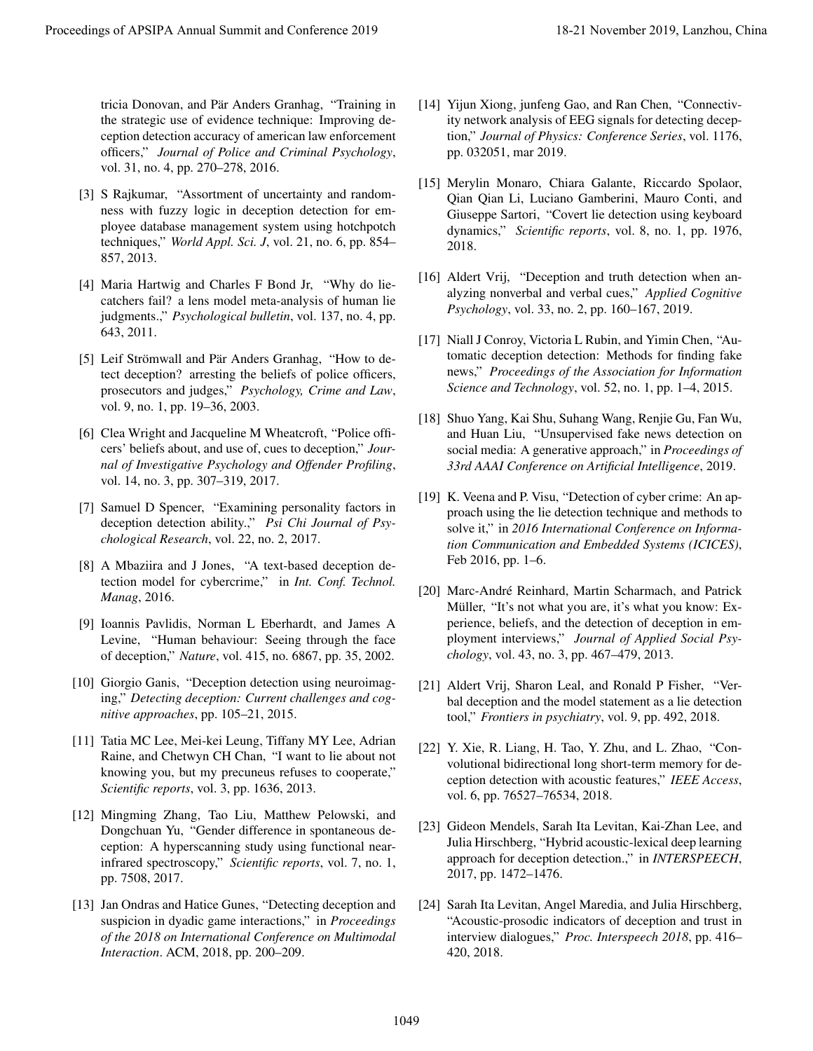tricia Donovan, and Pär Anders Granhag, "Training in the strategic use of evidence technique: Improving deception detection accuracy of american law enforcement officers," *Journal of Police and Criminal Psychology*, vol. 31, no. 4, pp. 270–278, 2016.

- [3] S Rajkumar, "Assortment of uncertainty and randomness with fuzzy logic in deception detection for employee database management system using hotchpotch techniques," *World Appl. Sci. J*, vol. 21, no. 6, pp. 854– 857, 2013.
- [4] Maria Hartwig and Charles F Bond Jr, "Why do liecatchers fail? a lens model meta-analysis of human lie judgments.," *Psychological bulletin*, vol. 137, no. 4, pp. 643, 2011.
- [5] Leif Strömwall and Pär Anders Granhag, "How to detect deception? arresting the beliefs of police officers, prosecutors and judges," *Psychology, Crime and Law*, vol. 9, no. 1, pp. 19–36, 2003.
- [6] Clea Wright and Jacqueline M Wheatcroft, "Police officers' beliefs about, and use of, cues to deception," *Journal of Investigative Psychology and Offender Profiling*, vol. 14, no. 3, pp. 307–319, 2017.
- [7] Samuel D Spencer, "Examining personality factors in deception detection ability.," *Psi Chi Journal of Psychological Research*, vol. 22, no. 2, 2017.
- [8] A Mbaziira and J Jones, "A text-based deception detection model for cybercrime," in *Int. Conf. Technol. Manag*, 2016.
- [9] Ioannis Pavlidis, Norman L Eberhardt, and James A Levine, "Human behaviour: Seeing through the face of deception," *Nature*, vol. 415, no. 6867, pp. 35, 2002.
- [10] Giorgio Ganis, "Deception detection using neuroimaging," *Detecting deception: Current challenges and cognitive approaches*, pp. 105–21, 2015.
- [11] Tatia MC Lee, Mei-kei Leung, Tiffany MY Lee, Adrian Raine, and Chetwyn CH Chan, "I want to lie about not knowing you, but my precuneus refuses to cooperate," *Scientific reports*, vol. 3, pp. 1636, 2013.
- [12] Mingming Zhang, Tao Liu, Matthew Pelowski, and Dongchuan Yu, "Gender difference in spontaneous deception: A hyperscanning study using functional nearinfrared spectroscopy," *Scientific reports*, vol. 7, no. 1, pp. 7508, 2017.
- [13] Jan Ondras and Hatice Gunes, "Detecting deception and suspicion in dyadic game interactions," in *Proceedings of the 2018 on International Conference on Multimodal Interaction*. ACM, 2018, pp. 200–209.
- [14] Yijun Xiong, junfeng Gao, and Ran Chen, "Connectivity network analysis of EEG signals for detecting deception," *Journal of Physics: Conference Series*, vol. 1176, pp. 032051, mar 2019.
- [15] Merylin Monaro, Chiara Galante, Riccardo Spolaor, Qian Qian Li, Luciano Gamberini, Mauro Conti, and Giuseppe Sartori, "Covert lie detection using keyboard dynamics," *Scientific reports*, vol. 8, no. 1, pp. 1976, 2018.
- [16] Aldert Vrij, "Deception and truth detection when analyzing nonverbal and verbal cues," *Applied Cognitive Psychology*, vol. 33, no. 2, pp. 160–167, 2019.
- [17] Niall J Conroy, Victoria L Rubin, and Yimin Chen, "Automatic deception detection: Methods for finding fake news," *Proceedings of the Association for Information Science and Technology*, vol. 52, no. 1, pp. 1–4, 2015.
- [18] Shuo Yang, Kai Shu, Suhang Wang, Renjie Gu, Fan Wu, and Huan Liu, "Unsupervised fake news detection on social media: A generative approach," in *Proceedings of 33rd AAAI Conference on Artificial Intelligence*, 2019.
- [19] K. Veena and P. Visu, "Detection of cyber crime: An approach using the lie detection technique and methods to solve it," in *2016 International Conference on Information Communication and Embedded Systems (ICICES)*, Feb 2016, pp. 1–6.
- [20] Marc-André Reinhard, Martin Scharmach, and Patrick Müller, "It's not what you are, it's what you know: Experience, beliefs, and the detection of deception in employment interviews," *Journal of Applied Social Psychology*, vol. 43, no. 3, pp. 467–479, 2013. Proceedings of APSIPA are all American conference 2019.<br>
This Decomposition and Farmin and Tarmin and Tarmin and Tarmin and Conference 2019, and European and Conference 2019, and European and Conference 2019, and European
	- [21] Aldert Vrij, Sharon Leal, and Ronald P Fisher, "Verbal deception and the model statement as a lie detection tool," *Frontiers in psychiatry*, vol. 9, pp. 492, 2018.
	- [22] Y. Xie, R. Liang, H. Tao, Y. Zhu, and L. Zhao, "Convolutional bidirectional long short-term memory for deception detection with acoustic features," *IEEE Access*, vol. 6, pp. 76527–76534, 2018.
	- [23] Gideon Mendels, Sarah Ita Levitan, Kai-Zhan Lee, and Julia Hirschberg, "Hybrid acoustic-lexical deep learning approach for deception detection.," in *INTERSPEECH*, 2017, pp. 1472–1476.
	- [24] Sarah Ita Levitan, Angel Maredia, and Julia Hirschberg, "Acoustic-prosodic indicators of deception and trust in interview dialogues," *Proc. Interspeech 2018*, pp. 416– 420, 2018.